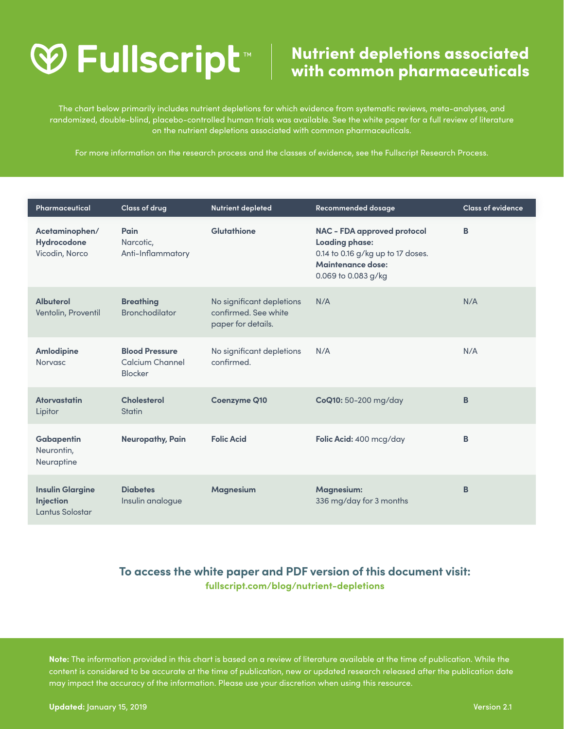# Nutrient depletions associated with common pharmaceuticals

The chart below primarily includes nutrient depletions for which evidence from systematic reviews, meta-analyses, and randomized, double-blind, placebo-controlled human trials was available. See the white paper for a full review of literature on the nutrient depletions associated with common pharmaceuticals.

For more information on the research process and the classes of evidence, see the Fullscript Research Process.

| Pharmaceutical                                          | <b>Class of drug</b>                                       | <b>Nutrient depleted</b>                                                | Recommended dosage                                                                                                                                  | <b>Class of evidence</b> |
|---------------------------------------------------------|------------------------------------------------------------|-------------------------------------------------------------------------|-----------------------------------------------------------------------------------------------------------------------------------------------------|--------------------------|
| Acetaminophen/<br>Hydrocodone<br>Vicodin, Norco         | Pain<br>Narcotic,<br>Anti-Inflammatory                     | Glutathione                                                             | <b>NAC - FDA approved protocol</b><br><b>Loading phase:</b><br>0.14 to 0.16 g/kg up to 17 doses.<br><b>Maintenance dose:</b><br>0.069 to 0.083 g/kg | B                        |
| <b>Albuterol</b><br>Ventolin, Proventil                 | <b>Breathing</b><br><b>Bronchodilator</b>                  | No significant depletions<br>confirmed. See white<br>paper for details. | N/A                                                                                                                                                 | N/A                      |
| <b>Amlodipine</b><br><b>Norvasc</b>                     | <b>Blood Pressure</b><br>Calcium Channel<br><b>Blocker</b> | No significant depletions<br>confirmed.                                 | N/A                                                                                                                                                 | N/A                      |
| <b>Atorvastatin</b><br>Lipitor                          | <b>Cholesterol</b><br><b>Statin</b>                        | <b>Coenzyme Q10</b>                                                     | CoQ10: 50-200 mg/day                                                                                                                                | B                        |
| Gabapentin<br>Neurontin,<br>Neuraptine                  | <b>Neuropathy, Pain</b>                                    | <b>Folic Acid</b>                                                       | Folic Acid: 400 mcg/day                                                                                                                             | в                        |
| <b>Insulin Glargine</b><br>Injection<br>Lantus Solostar | <b>Diabetes</b><br>Insulin analogue                        | <b>Magnesium</b>                                                        | <b>Magnesium:</b><br>336 mg/day for 3 months                                                                                                        | B                        |

### **To access the white paper and PDF version of this document visit: fullscript.com/blog/nutrient-depletions**

**Note:** The information provided in this chart is based on a review of literature available at the time of publication. While the content is considered to be accurate at the time of publication, new or updated research released after the publication date may impact the accuracy of the information. Please use your discretion when using this resource.